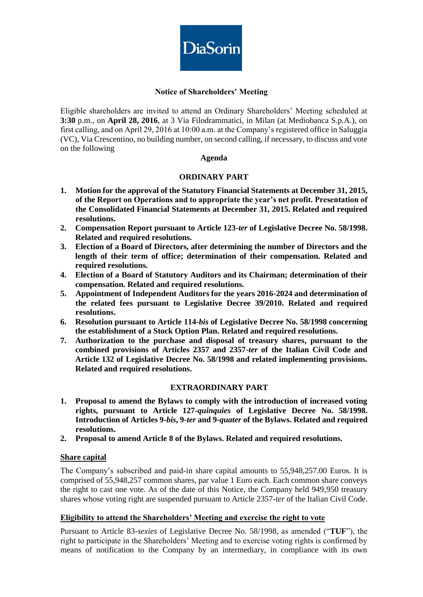

## **Notice of Shareholders' Meeting**

Eligible shareholders are invited to attend an Ordinary Shareholders' Meeting scheduled at **3:30** p.m., on **April 28, 2016**, at 3 Via Filodrammatici, in Milan (at Mediobanca S.p.A.), on first calling, and on April 29, 2016 at 10:00 a.m. at the Company's registered office in Saluggia (VC), Via Crescentino, no building number, on second calling, if necessary, to discuss and vote on the following

### **Agenda**

## **ORDINARY PART**

- **1. Motion for the approval of the Statutory Financial Statements at December 31, 2015, of the Report on Operations and to appropriate the year's net profit. Presentation of the Consolidated Financial Statements at December 31, 2015. Related and required resolutions.**
- **2. Compensation Report pursuant to Article 123-***ter* **of Legislative Decree No. 58/1998. Related and required resolutions.**
- **3. Election of a Board of Directors, after determining the number of Directors and the length of their term of office; determination of their compensation. Related and required resolutions.**
- **4. Election of a Board of Statutory Auditors and its Chairman; determination of their compensation. Related and required resolutions.**
- **5. Appointment of Independent Auditors for the years 2016-2024 and determination of the related fees pursuant to Legislative Decree 39/2010. Related and required resolutions.**
- **6. Resolution pursuant to Article 114-***bis* **of Legislative Decree No. 58/1998 concerning the establishment of a Stock Option Plan. Related and required resolutions.**
- **7. Authorization to the purchase and disposal of treasury shares, pursuant to the combined provisions of Articles 2357 and 2357-***ter* **of the Italian Civil Code and Article 132 of Legislative Decree No. 58/1998 and related implementing provisions. Related and required resolutions.**

#### **EXTRAORDINARY PART**

- **1. Proposal to amend the Bylaws to comply with the introduction of increased voting rights, pursuant to Article 127-***quinquies* **of Legislative Decree No. 58/1998. Introduction of Articles 9-***bis***, 9-***ter* **and 9-***quater* **of the Bylaws. Related and required resolutions.**
- **2. Proposal to amend Article 8 of the Bylaws. Related and required resolutions.**

## **Share capital**

The Company's subscribed and paid-in share capital amounts to 55,948,257.00 Euros. It is comprised of 55,948,257 common shares, par value 1 Euro each. Each common share conveys the right to cast one vote. As of the date of this Notice, the Company held 949,950 treasury shares whose voting right are suspended pursuant to Article 2357-*ter* of the Italian Civil Code.

#### **Eligibility to attend the Shareholders' Meeting and exercise the right to vote**

Pursuant to Article 83-*sexies* of Legislative Decree No. 58/1998, as amended ("**TUF**"), the right to participate in the Shareholders' Meeting and to exercise voting rights is confirmed by means of notification to the Company by an intermediary, in compliance with its own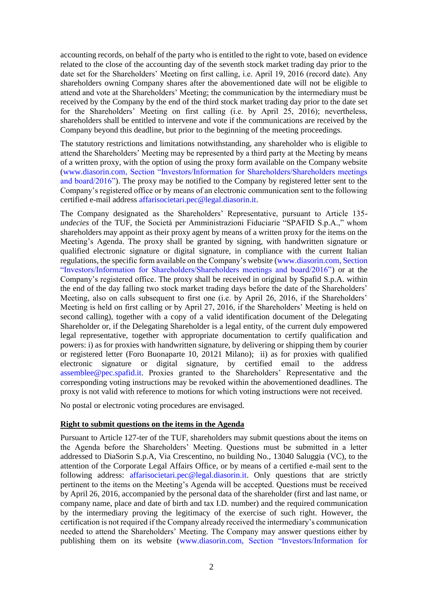accounting records, on behalf of the party who is entitled to the right to vote, based on evidence related to the close of the accounting day of the seventh stock market trading day prior to the date set for the Shareholders' Meeting on first calling, i.e. April 19, 2016 (record date). Any shareholders owning Company shares after the abovementioned date will not be eligible to attend and vote at the Shareholders' Meeting; the communication by the intermediary must be received by the Company by the end of the third stock market trading day prior to the date set for the Shareholders' Meeting on first calling (i.e. by April 25, 2016); nevertheless, shareholders shall be entitled to intervene and vote if the communications are received by the Company beyond this deadline, but prior to the beginning of the meeting proceedings.

The statutory restrictions and limitations notwithstanding, any shareholder who is eligible to attend the Shareholders' Meeting may be represented by a third party at the Meeting by means of a written proxy, with the option of using the proxy form available on the Company website [\(www.diasorin.com,](http://www.diasorin.com/) Section "Investors/Information for Shareholders/Shareholders meetings and board/2016"). The proxy may be notified to the Company by registered letter sent to the Company's registered office or by means of an electronic communication sent to the following certified e-mail address affarisocietari.pec@legal.diasorin.it.

The Company designated as the Shareholders' Representative, pursuant to Article 135 *undecies* of the TUF, the Società per Amministrazioni Fiduciarie "SPAFID S.p.A.," whom shareholders may appoint as their proxy agent by means of a written proxy for the items on the Meeting's Agenda. The proxy shall be granted by signing, with handwritten signature or qualified electronic signature or digital signature, in compliance with the current Italian regulations, the specific form available on the Company's website [\(www.diasorin.com,](http://www.diasorin.com/) Section "Investors/Information for Shareholders/Shareholders meetings and board/2016") or at the Company's registered office. The proxy shall be received in original by Spafid S.p.A. within the end of the day falling two stock market trading days before the date of the Shareholders' Meeting, also on calls subsequent to first one (i.e. by April 26, 2016, if the Shareholders' Meeting is held on first calling or by April 27, 2016, if the Shareholders' Meeting is held on second calling), together with a copy of a valid identification document of the Delegating Shareholder or, if the Delegating Shareholder is a legal entity, of the current duly empowered legal representative, together with appropriate documentation to certify qualification and powers: i) as for proxies with handwritten signature, by delivering or shipping them by courier or registered letter (Foro Buonaparte 10, 20121 Milano); ii) as for proxies with qualified electronic signature or digital signature, by certified email to the address assemblee@pec.spafid.it. Proxies granted to the Shareholders' Representative and the corresponding voting instructions may be revoked within the abovementioned deadlines. The proxy is not valid with reference to motions for which voting instructions were not received.

No postal or electronic voting procedures are envisaged.

## **Right to submit questions on the items in the Agenda**

Pursuant to Article 127-ter of the TUF, shareholders may submit questions about the items on the Agenda before the Shareholders' Meeting. Questions must be submitted in a letter addressed to DiaSorin S.p.A, Via Crescentino, no building No., 13040 Saluggia (VC), to the attention of the Corporate Legal Affairs Office, or by means of a certified e-mail sent to the following address: [affarisocietari.pec@legal.diasorin.it.](mailto:affarisocietari@diasorin.it) Only questions that are strictly pertinent to the items on the Meeting's Agenda will be accepted. Questions must be received by April 26, 2016, accompanied by the personal data of the shareholder (first and last name, or company name, place and date of birth and tax I.D. number) and the required communication by the intermediary proving the legitimacy of the exercise of such right. However, the certification is not required if the Company already received the intermediary's communication needed to attend the Shareholders' Meeting. The Company may answer questions either by publishing them on its website [\(www.diasorin.com,](http://www.diasorin.com/) Section "Investors/Information for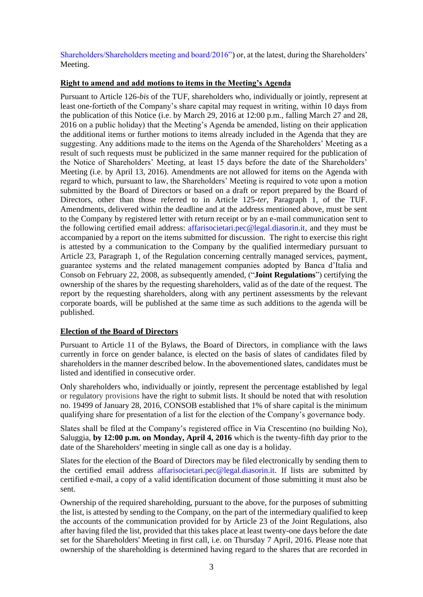Shareholders/Shareholders meeting and board/2016") or, at the latest, during the Shareholders' Meeting.

# **Right to amend and add motions to items in the Meeting's Agenda**

Pursuant to Article 126-*bis* of the TUF, shareholders who, individually or jointly, represent at least one-fortieth of the Company's share capital may request in writing, within 10 days from the publication of this Notice (i.e. by March 29, 2016 at 12:00 p.m., falling March 27 and 28, 2016 on a public holiday) that the Meeting's Agenda be amended, listing on their application the additional items or further motions to items already included in the Agenda that they are suggesting. Any additions made to the items on the Agenda of the Shareholders' Meeting as a result of such requests must be publicized in the same manner required for the publication of the Notice of Shareholders' Meeting, at least 15 days before the date of the Shareholders' Meeting (i.e. by April 13, 2016). Amendments are not allowed for items on the Agenda with regard to which, pursuant to law, the Shareholders' Meeting is required to vote upon a motion submitted by the Board of Directors or based on a draft or report prepared by the Board of Directors, other than those referred to in Article 125-*ter*, Paragraph 1, of the TUF. Amendments, delivered within the deadline and at the address mentioned above, must be sent to the Company by registered letter with return receipt or by an e-mail communication sent to the following certified email address: [affarisocietari.pec@legal.diasorin.it,](mailto:affarisocietari@diasorin.it) and they must be accompanied by a report on the items submitted for discussion. The right to exercise this right is attested by a communication to the Company by the qualified intermediary pursuant to Article 23, Paragraph 1, of the Regulation concerning centrally managed services, payment, guarantee systems and the related management companies adopted by Banca d'Italia and Consob on February 22, 2008, as subsequently amended, ("**Joint Regulations**") certifying the ownership of the shares by the requesting shareholders, valid as of the date of the request. The report by the requesting shareholders, along with any pertinent assessments by the relevant corporate boards, will be published at the same time as such additions to the agenda will be published.

## **Election of the Board of Directors**

Pursuant to Article 11 of the Bylaws, the Board of Directors, in compliance with the laws currently in force on gender balance, is elected on the basis of slates of candidates filed by shareholders in the manner described below. In the abovementioned slates, candidates must be listed and identified in consecutive order.

Only shareholders who, individually or jointly, represent the percentage established by legal or regulatory provisions have the right to submit lists. It should be noted that with resolution no. 19499 of January 28, 2016, CONSOB established that 1% of share capital is the minimum qualifying share for presentation of a list for the election of the Company's governance body.

Slates shall be filed at the Company's registered office in Via Crescentino (no building No), Saluggia, **by 12:00 p.m. on Monday, April 4, 2016** which is the twenty-fifth day prior to the date of the Shareholders' meeting in single call as one day is a holiday.

Slates for the election of the Board of Directors may be filed electronically by sending them to the certified email address [affarisocietari.pec@legal.diasorin.it.](mailto:affarisocietari@diasorin.it) If lists are submitted by certified e-mail, a copy of a valid identification document of those submitting it must also be sent.

Ownership of the required shareholding, pursuant to the above, for the purposes of submitting the list, is attested by sending to the Company, on the part of the intermediary qualified to keep the accounts of the communication provided for by Article 23 of the Joint Regulations, also after having filed the list, provided that this takes place at least twenty-one days before the date set for the Shareholders' Meeting in first call, i.e. on Thursday 7 April, 2016. Please note that ownership of the shareholding is determined having regard to the shares that are recorded in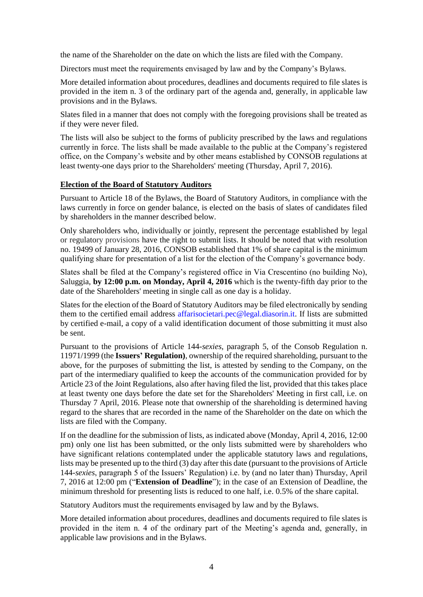the name of the Shareholder on the date on which the lists are filed with the Company.

Directors must meet the requirements envisaged by law and by the Company's Bylaws.

More detailed information about procedures, deadlines and documents required to file slates is provided in the item n. 3 of the ordinary part of the agenda and, generally, in applicable law provisions and in the Bylaws.

Slates filed in a manner that does not comply with the foregoing provisions shall be treated as if they were never filed.

The lists will also be subject to the forms of publicity prescribed by the laws and regulations currently in force. The lists shall be made available to the public at the Company's registered office, on the Company's website and by other means established by CONSOB regulations at least twenty-one days prior to the Shareholders' meeting (Thursday, April 7, 2016).

## **Election of the Board of Statutory Auditors**

Pursuant to Article 18 of the Bylaws, the Board of Statutory Auditors, in compliance with the laws currently in force on gender balance, is elected on the basis of slates of candidates filed by shareholders in the manner described below.

Only shareholders who, individually or jointly, represent the percentage established by legal or regulatory provisions have the right to submit lists. It should be noted that with resolution no. 19499 of January 28, 2016, CONSOB established that 1% of share capital is the minimum qualifying share for presentation of a list for the election of the Company's governance body.

Slates shall be filed at the Company's registered office in Via Crescentino (no building No), Saluggia, **by 12:00 p.m. on Monday, April 4, 2016** which is the twenty-fifth day prior to the date of the Shareholders' meeting in single call as one day is a holiday.

Slates for the election of the Board of Statutory Auditors may be filed electronically by sending them to the certified email address [affarisocietari.pec@legal.diasorin.it.](mailto:affarisocietari@diasorin.it) If lists are submitted by certified e-mail, a copy of a valid identification document of those submitting it must also be sent.

Pursuant to the provisions of Article 144-*sexies*, paragraph 5, of the Consob Regulation n. 11971/1999 (the **Issuers' Regulation)**, ownership of the required shareholding, pursuant to the above, for the purposes of submitting the list, is attested by sending to the Company, on the part of the intermediary qualified to keep the accounts of the communication provided for by Article 23 of the Joint Regulations, also after having filed the list, provided that this takes place at least twenty one days before the date set for the Shareholders' Meeting in first call, i.e. on Thursday 7 April, 2016. Please note that ownership of the shareholding is determined having regard to the shares that are recorded in the name of the Shareholder on the date on which the lists are filed with the Company.

If on the deadline for the submission of lists, as indicated above (Monday, April 4, 2016, 12:00 pm) only one list has been submitted, or the only lists submitted were by shareholders who have significant relations contemplated under the applicable statutory laws and regulations, lists may be presented up to the third (3) day after this date (pursuant to the provisions of Article 144-*sexies*, paragraph 5 of the Issuers' Regulation) i.e. by (and no later than) Thursday, April 7, 2016 at 12:00 pm ("**Extension of Deadline**"); in the case of an Extension of Deadline, the minimum threshold for presenting lists is reduced to one half, i.e. 0.5% of the share capital.

Statutory Auditors must the requirements envisaged by law and by the Bylaws.

More detailed information about procedures, deadlines and documents required to file slates is provided in the item n. 4 of the ordinary part of the Meeting's agenda and, generally, in applicable law provisions and in the Bylaws.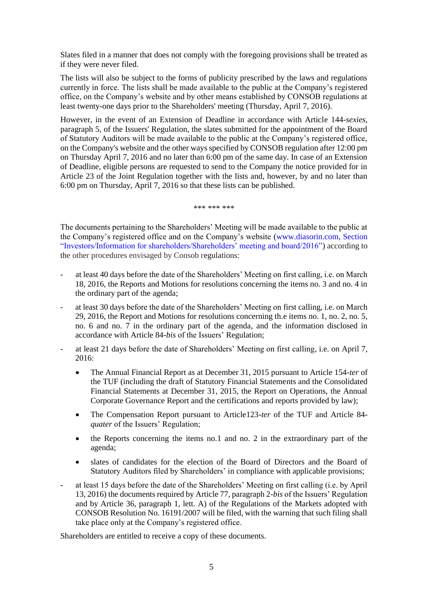Slates filed in a manner that does not comply with the foregoing provisions shall be treated as if they were never filed.

The lists will also be subject to the forms of publicity prescribed by the laws and regulations currently in force. The lists shall be made available to the public at the Company's registered office, on the Company's website and by other means established by CONSOB regulations at least twenty-one days prior to the Shareholders' meeting (Thursday, April 7, 2016).

However, in the event of an Extension of Deadline in accordance with Article 144-*sexies*, paragraph 5, of the Issuers' Regulation, the slates submitted for the appointment of the Board of Statutory Auditors will be made available to the public at the Company's registered office, on the Company's website and the other ways specified by CONSOB regulation after 12:00 pm on Thursday April 7, 2016 and no later than 6:00 pm of the same day. In case of an Extension of Deadline, eligible persons are requested to send to the Company the notice provided for in Article 23 of the Joint Regulation together with the lists and, however, by and no later than 6:00 pm on Thursday, April 7, 2016 so that these lists can be published.

\*\*\* \*\*\* \*\*\*

The documents pertaining to the Shareholders' Meeting will be made available to the public at the Company's registered office and on the Company's website (www.diasorin.com, Section "Investors/Information for shareholders/Shareholders' meeting and board/2016") according to the other procedures envisaged by Consob regulations:

- at least 40 days before the date of the Shareholders' Meeting on first calling, i.e. on March 18, 2016, the Reports and Motions for resolutions concerning the items no. 3 and no. 4 in the ordinary part of the agenda;
- at least 30 days before the date of the Shareholders' Meeting on first calling, i.e. on March 29, 2016, the Report and Motions for resolutions concerning th.e items no. 1, no. 2, no. 5, no. 6 and no. 7 in the ordinary part of the agenda, and the information disclosed in accordance with Article 84-*bis* of the Issuers' Regulation;
- at least 21 days before the date of Shareholders' Meeting on first calling, i.e. on April 7, 2016:
	- The Annual Financial Report as at December 31, 2015 pursuant to Article 154-*ter* of the TUF (including the draft of Statutory Financial Statements and the Consolidated Financial Statements at December 31, 2015, the Report on Operations, the Annual Corporate Governance Report and the certifications and reports provided by law);
	- The Compensation Report pursuant to Article123-*ter* of the TUF and Article 84 *quater* of the Issuers' Regulation;
	- the Reports concerning the items no.1 and no. 2 in the extraordinary part of the agenda;
	- slates of candidates for the election of the Board of Directors and the Board of Statutory Auditors filed by Shareholders' in compliance with applicable provisions;
- at least 15 days before the date of the Shareholders' Meeting on first calling (i.e. by April 13, 2016) the documents required by Article 77, paragraph 2-*bis* of the Issuers' Regulation and by Article 36, paragraph 1, lett. A) of the Regulations of the Markets adopted with CONSOB Resolution No. 16191/2007 will be filed, with the warning that such filing shall take place only at the Company's registered office.

Shareholders are entitled to receive a copy of these documents.